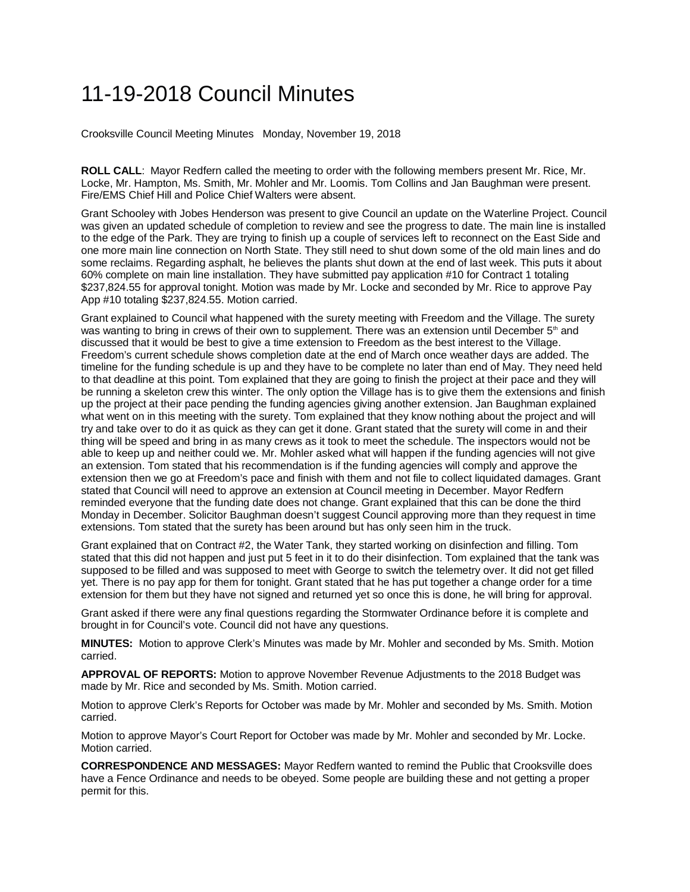## 11-19-2018 Council Minutes

Crooksville Council Meeting Minutes Monday, November 19, 2018

**ROLL CALL**: Mayor Redfern called the meeting to order with the following members present Mr. Rice, Mr. Locke, Mr. Hampton, Ms. Smith, Mr. Mohler and Mr. Loomis. Tom Collins and Jan Baughman were present. Fire/EMS Chief Hill and Police Chief Walters were absent.

Grant Schooley with Jobes Henderson was present to give Council an update on the Waterline Project. Council was given an updated schedule of completion to review and see the progress to date. The main line is installed to the edge of the Park. They are trying to finish up a couple of services left to reconnect on the East Side and one more main line connection on North State. They still need to shut down some of the old main lines and do some reclaims. Regarding asphalt, he believes the plants shut down at the end of last week. This puts it about 60% complete on main line installation. They have submitted pay application #10 for Contract 1 totaling \$237,824.55 for approval tonight. Motion was made by Mr. Locke and seconded by Mr. Rice to approve Pay App #10 totaling \$237,824.55. Motion carried.

Grant explained to Council what happened with the surety meeting with Freedom and the Village. The surety was wanting to bring in crews of their own to supplement. There was an extension until December  $5<sup>th</sup>$  and discussed that it would be best to give a time extension to Freedom as the best interest to the Village. Freedom's current schedule shows completion date at the end of March once weather days are added. The timeline for the funding schedule is up and they have to be complete no later than end of May. They need held to that deadline at this point. Tom explained that they are going to finish the project at their pace and they will be running a skeleton crew this winter. The only option the Village has is to give them the extensions and finish up the project at their pace pending the funding agencies giving another extension. Jan Baughman explained what went on in this meeting with the surety. Tom explained that they know nothing about the project and will try and take over to do it as quick as they can get it done. Grant stated that the surety will come in and their thing will be speed and bring in as many crews as it took to meet the schedule. The inspectors would not be able to keep up and neither could we. Mr. Mohler asked what will happen if the funding agencies will not give an extension. Tom stated that his recommendation is if the funding agencies will comply and approve the extension then we go at Freedom's pace and finish with them and not file to collect liquidated damages. Grant stated that Council will need to approve an extension at Council meeting in December. Mayor Redfern reminded everyone that the funding date does not change. Grant explained that this can be done the third Monday in December. Solicitor Baughman doesn't suggest Council approving more than they request in time extensions. Tom stated that the surety has been around but has only seen him in the truck.

Grant explained that on Contract #2, the Water Tank, they started working on disinfection and filling. Tom stated that this did not happen and just put 5 feet in it to do their disinfection. Tom explained that the tank was supposed to be filled and was supposed to meet with George to switch the telemetry over. It did not get filled yet. There is no pay app for them for tonight. Grant stated that he has put together a change order for a time extension for them but they have not signed and returned yet so once this is done, he will bring for approval.

Grant asked if there were any final questions regarding the Stormwater Ordinance before it is complete and brought in for Council's vote. Council did not have any questions.

**MINUTES:** Motion to approve Clerk's Minutes was made by Mr. Mohler and seconded by Ms. Smith. Motion carried.

**APPROVAL OF REPORTS:** Motion to approve November Revenue Adjustments to the 2018 Budget was made by Mr. Rice and seconded by Ms. Smith. Motion carried.

Motion to approve Clerk's Reports for October was made by Mr. Mohler and seconded by Ms. Smith. Motion carried.

Motion to approve Mayor's Court Report for October was made by Mr. Mohler and seconded by Mr. Locke. Motion carried.

**CORRESPONDENCE AND MESSAGES:** Mayor Redfern wanted to remind the Public that Crooksville does have a Fence Ordinance and needs to be obeyed. Some people are building these and not getting a proper permit for this.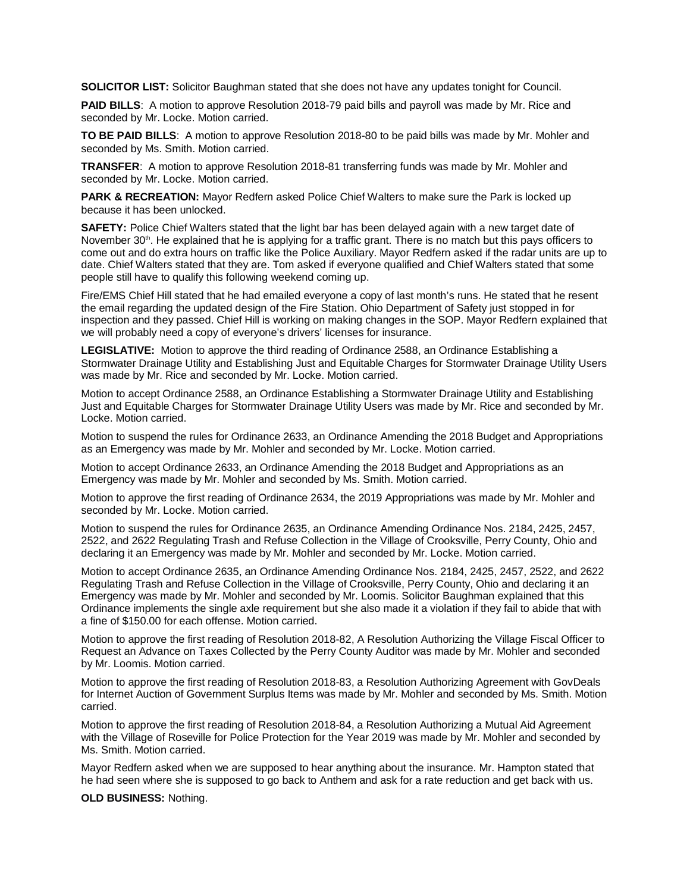**SOLICITOR LIST:** Solicitor Baughman stated that she does not have any updates tonight for Council.

**PAID BILLS**: A motion to approve Resolution 2018-79 paid bills and payroll was made by Mr. Rice and seconded by Mr. Locke. Motion carried.

**TO BE PAID BILLS**: A motion to approve Resolution 2018-80 to be paid bills was made by Mr. Mohler and seconded by Ms. Smith. Motion carried.

**TRANSFER**: A motion to approve Resolution 2018-81 transferring funds was made by Mr. Mohler and seconded by Mr. Locke. Motion carried.

**PARK & RECREATION:** Mayor Redfern asked Police Chief Walters to make sure the Park is locked up because it has been unlocked.

**SAFETY:** Police Chief Walters stated that the light bar has been delayed again with a new target date of November  $30<sup>th</sup>$ . He explained that he is applying for a traffic grant. There is no match but this pays officers to come out and do extra hours on traffic like the Police Auxiliary. Mayor Redfern asked if the radar units are up to date. Chief Walters stated that they are. Tom asked if everyone qualified and Chief Walters stated that some people still have to qualify this following weekend coming up.

Fire/EMS Chief Hill stated that he had emailed everyone a copy of last month's runs. He stated that he resent the email regarding the updated design of the Fire Station. Ohio Department of Safety just stopped in for inspection and they passed. Chief Hill is working on making changes in the SOP. Mayor Redfern explained that we will probably need a copy of everyone's drivers' licenses for insurance.

**LEGISLATIVE:** Motion to approve the third reading of Ordinance 2588, an Ordinance Establishing a Stormwater Drainage Utility and Establishing Just and Equitable Charges for Stormwater Drainage Utility Users was made by Mr. Rice and seconded by Mr. Locke. Motion carried.

Motion to accept Ordinance 2588, an Ordinance Establishing a Stormwater Drainage Utility and Establishing Just and Equitable Charges for Stormwater Drainage Utility Users was made by Mr. Rice and seconded by Mr. Locke. Motion carried.

Motion to suspend the rules for Ordinance 2633, an Ordinance Amending the 2018 Budget and Appropriations as an Emergency was made by Mr. Mohler and seconded by Mr. Locke. Motion carried.

Motion to accept Ordinance 2633, an Ordinance Amending the 2018 Budget and Appropriations as an Emergency was made by Mr. Mohler and seconded by Ms. Smith. Motion carried.

Motion to approve the first reading of Ordinance 2634, the 2019 Appropriations was made by Mr. Mohler and seconded by Mr. Locke. Motion carried.

Motion to suspend the rules for Ordinance 2635, an Ordinance Amending Ordinance Nos. 2184, 2425, 2457, 2522, and 2622 Regulating Trash and Refuse Collection in the Village of Crooksville, Perry County, Ohio and declaring it an Emergency was made by Mr. Mohler and seconded by Mr. Locke. Motion carried.

Motion to accept Ordinance 2635, an Ordinance Amending Ordinance Nos. 2184, 2425, 2457, 2522, and 2622 Regulating Trash and Refuse Collection in the Village of Crooksville, Perry County, Ohio and declaring it an Emergency was made by Mr. Mohler and seconded by Mr. Loomis. Solicitor Baughman explained that this Ordinance implements the single axle requirement but she also made it a violation if they fail to abide that with a fine of \$150.00 for each offense. Motion carried.

Motion to approve the first reading of Resolution 2018-82, A Resolution Authorizing the Village Fiscal Officer to Request an Advance on Taxes Collected by the Perry County Auditor was made by Mr. Mohler and seconded by Mr. Loomis. Motion carried.

Motion to approve the first reading of Resolution 2018-83, a Resolution Authorizing Agreement with GovDeals for Internet Auction of Government Surplus Items was made by Mr. Mohler and seconded by Ms. Smith. Motion carried.

Motion to approve the first reading of Resolution 2018-84, a Resolution Authorizing a Mutual Aid Agreement with the Village of Roseville for Police Protection for the Year 2019 was made by Mr. Mohler and seconded by Ms. Smith. Motion carried.

Mayor Redfern asked when we are supposed to hear anything about the insurance. Mr. Hampton stated that he had seen where she is supposed to go back to Anthem and ask for a rate reduction and get back with us.

**OLD BUSINESS:** Nothing.